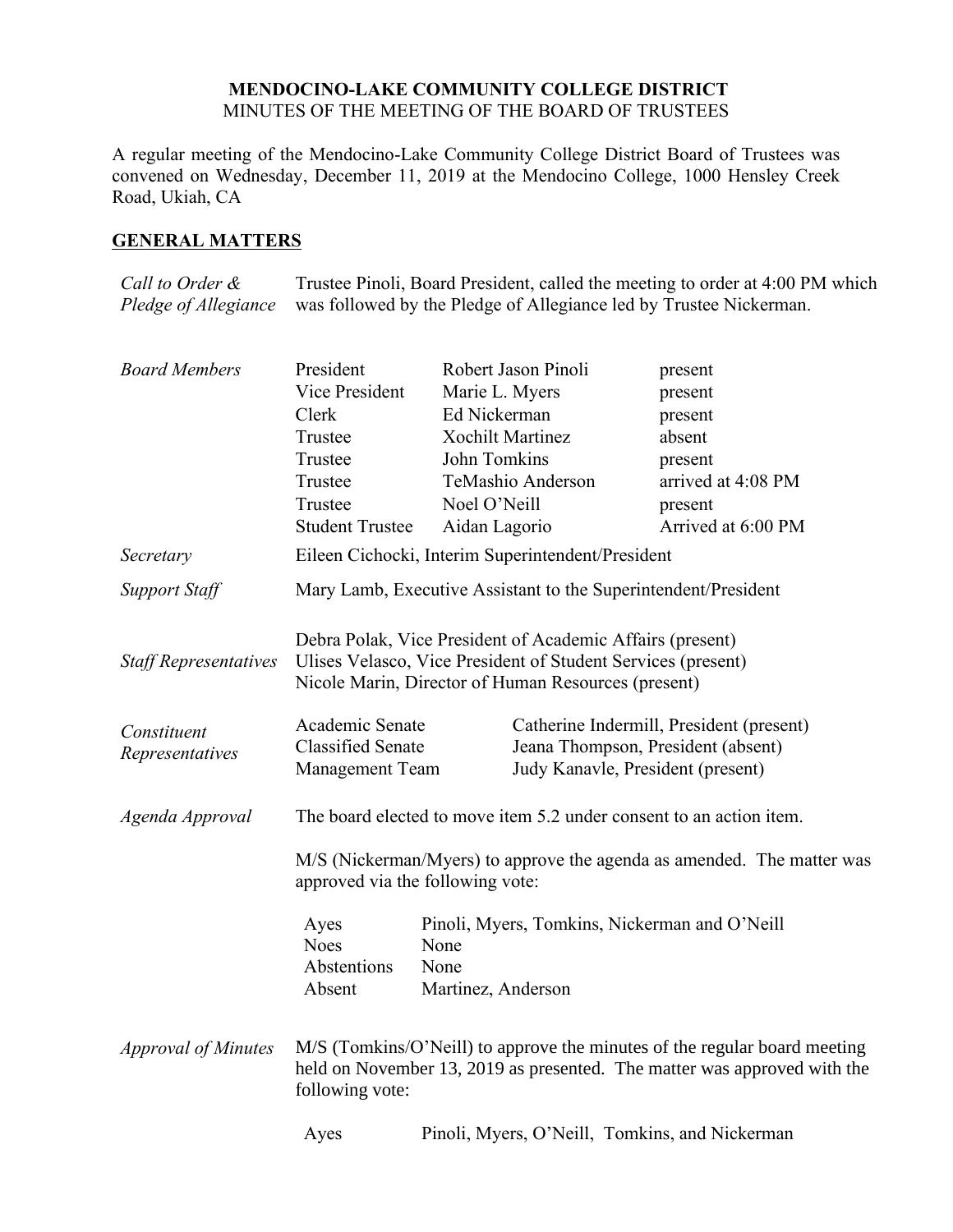### **MENDOCINO-LAKE COMMUNITY COLLEGE DISTRICT** MINUTES OF THE MEETING OF THE BOARD OF TRUSTEES

A regular meeting of the Mendocino-Lake Community College District Board of Trustees was convened on Wednesday, December 11, 2019 at the Mendocino College, 1000 Hensley Creek Road, Ukiah, CA

## **GENERAL MATTERS**

*Call to Order & Pledge of Allegiance* Trustee Pinoli, Board President, called the meeting to order at 4:00 PM which was followed by the Pledge of Allegiance led by Trustee Nickerman.

| <b>Board Members</b>         | President                                                                                                                                                                |                    | Robert Jason Pinoli                                                                                                                                                              | present                                        |
|------------------------------|--------------------------------------------------------------------------------------------------------------------------------------------------------------------------|--------------------|----------------------------------------------------------------------------------------------------------------------------------------------------------------------------------|------------------------------------------------|
|                              | Vice President                                                                                                                                                           | Marie L. Myers     |                                                                                                                                                                                  | present                                        |
|                              | Clerk                                                                                                                                                                    | Ed Nickerman       |                                                                                                                                                                                  | present                                        |
|                              | Trustee                                                                                                                                                                  |                    | <b>Xochilt Martinez</b>                                                                                                                                                          | absent                                         |
|                              | Trustee                                                                                                                                                                  | John Tomkins       |                                                                                                                                                                                  | present                                        |
|                              | Trustee                                                                                                                                                                  |                    | TeMashio Anderson                                                                                                                                                                | arrived at 4:08 PM                             |
|                              | Trustee                                                                                                                                                                  | Noel O'Neill       |                                                                                                                                                                                  | present                                        |
|                              | <b>Student Trustee</b>                                                                                                                                                   | Aidan Lagorio      |                                                                                                                                                                                  | Arrived at 6:00 PM                             |
| Secretary                    |                                                                                                                                                                          |                    | Eileen Cichocki, Interim Superintendent/President                                                                                                                                |                                                |
| <b>Support Staff</b>         | Mary Lamb, Executive Assistant to the Superintendent/President                                                                                                           |                    |                                                                                                                                                                                  |                                                |
| <b>Staff Representatives</b> |                                                                                                                                                                          |                    | Debra Polak, Vice President of Academic Affairs (present)<br>Ulises Velasco, Vice President of Student Services (present)<br>Nicole Marin, Director of Human Resources (present) |                                                |
| Constituent                  | Academic Senate                                                                                                                                                          |                    |                                                                                                                                                                                  | Catherine Indermill, President (present)       |
| Representatives              | <b>Classified Senate</b>                                                                                                                                                 |                    | Jeana Thompson, President (absent)                                                                                                                                               |                                                |
|                              | Judy Kanavle, President (present)<br>Management Team                                                                                                                     |                    |                                                                                                                                                                                  |                                                |
| Agenda Approval              | The board elected to move item 5.2 under consent to an action item.                                                                                                      |                    |                                                                                                                                                                                  |                                                |
|                              | M/S (Nickerman/Myers) to approve the agenda as amended. The matter was<br>approved via the following vote:                                                               |                    |                                                                                                                                                                                  |                                                |
|                              | Pinoli, Myers, Tomkins, Nickerman and O'Neill<br>Ayes                                                                                                                    |                    |                                                                                                                                                                                  |                                                |
|                              | <b>Noes</b>                                                                                                                                                              | None               |                                                                                                                                                                                  |                                                |
|                              | Abstentions                                                                                                                                                              | None               |                                                                                                                                                                                  |                                                |
|                              | Absent                                                                                                                                                                   | Martinez, Anderson |                                                                                                                                                                                  |                                                |
| <b>Approval of Minutes</b>   | M/S (Tomkins/O'Neill) to approve the minutes of the regular board meeting<br>held on November 13, 2019 as presented. The matter was approved with the<br>following vote: |                    |                                                                                                                                                                                  |                                                |
|                              | Ayes                                                                                                                                                                     |                    |                                                                                                                                                                                  | Pinoli, Myers, O'Neill, Tomkins, and Nickerman |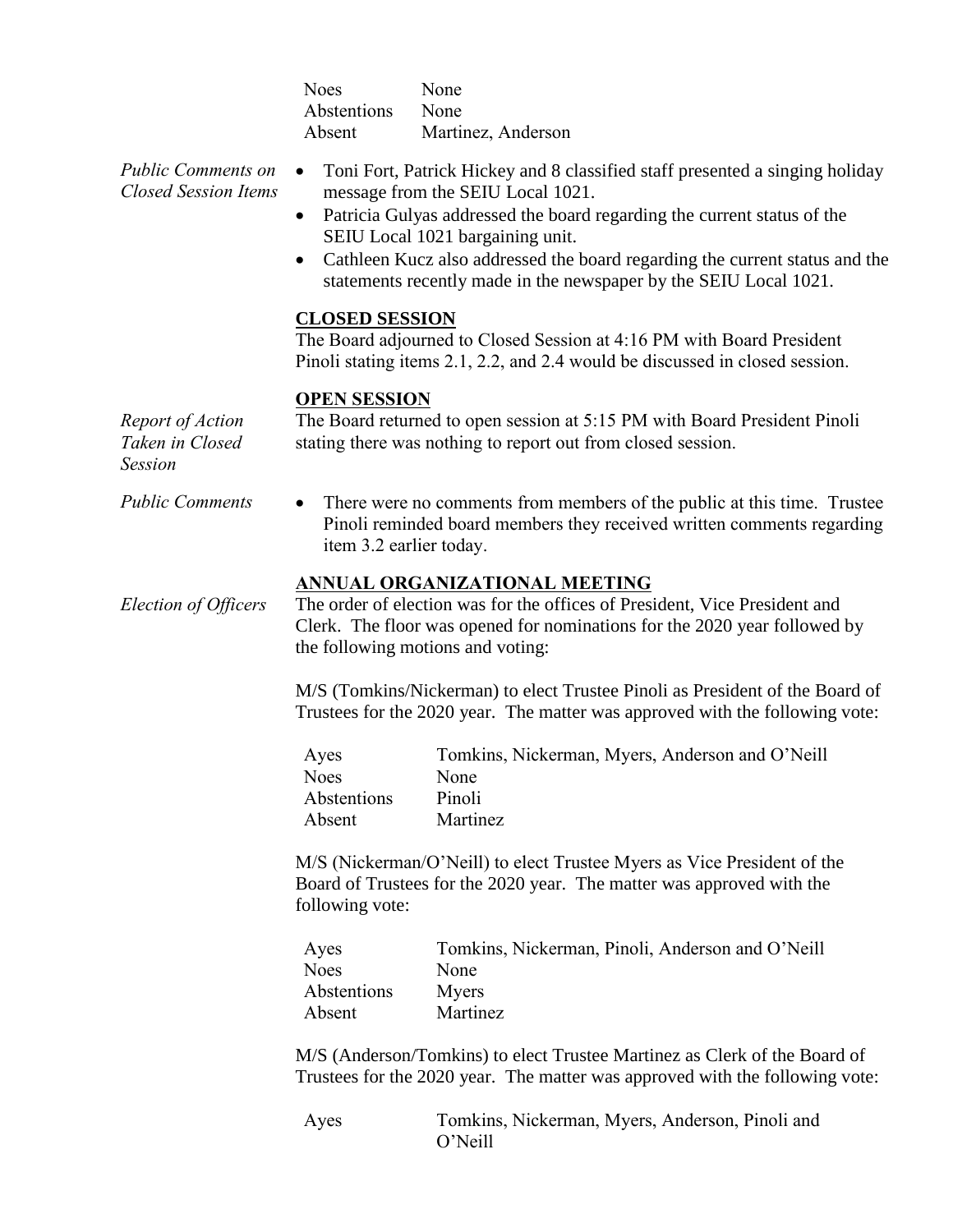| <b>Noes</b>        | None               |
|--------------------|--------------------|
| <b>Abstentions</b> | None               |
| Absent             | Martinez, Anderson |

- *Public Comments on Closed Session Items* Toni Fort, Patrick Hickey and 8 classified staff presented a singing holiday message from the SEIU Local 1021.
	- Patricia Gulyas addressed the board regarding the current status of the SEIU Local 1021 bargaining unit.
	- Cathleen Kucz also addressed the board regarding the current status and the statements recently made in the newspaper by the SEIU Local 1021.

### **CLOSED SESSION**

The Board adjourned to Closed Session at 4:16 PM with Board President Pinoli stating items 2.1, 2.2, and 2.4 would be discussed in closed session.

#### **OPEN SESSION**

The Board returned to open session at 5:15 PM with Board President Pinoli stating there was nothing to report out from closed session.

*Public Comments* • There were no comments from members of the public at this time. Trustee Pinoli reminded board members they received written comments regarding item 3.2 earlier today.

### **ANNUAL ORGANIZATIONAL MEETING**

*Election of Officers* The order of election was for the offices of President, Vice President and Clerk. The floor was opened for nominations for the 2020 year followed by the following motions and voting:

> M/S (Tomkins/Nickerman) to elect Trustee Pinoli as President of the Board of Trustees for the 2020 year. The matter was approved with the following vote:

| Ayes        | Tomkins, Nickerman, Myers, Anderson and O'Neill |
|-------------|-------------------------------------------------|
| <b>Noes</b> | None                                            |
| Abstentions | Pinoli                                          |
| Absent      | <b>Martinez</b>                                 |

M/S (Nickerman/O'Neill) to elect Trustee Myers as Vice President of the Board of Trustees for the 2020 year. The matter was approved with the following vote:

| Ayes        | Tomkins, Nickerman, Pinoli, Anderson and O'Neill |
|-------------|--------------------------------------------------|
| <b>Noes</b> | None                                             |
| Abstentions | Myers                                            |
| Absent      | Martinez                                         |

M/S (Anderson/Tomkins) to elect Trustee Martinez as Clerk of the Board of Trustees for the 2020 year. The matter was approved with the following vote:

Ayes Tomkins, Nickerman, Myers, Anderson, Pinoli and O'Neill

*Report of Action Taken in Closed Session*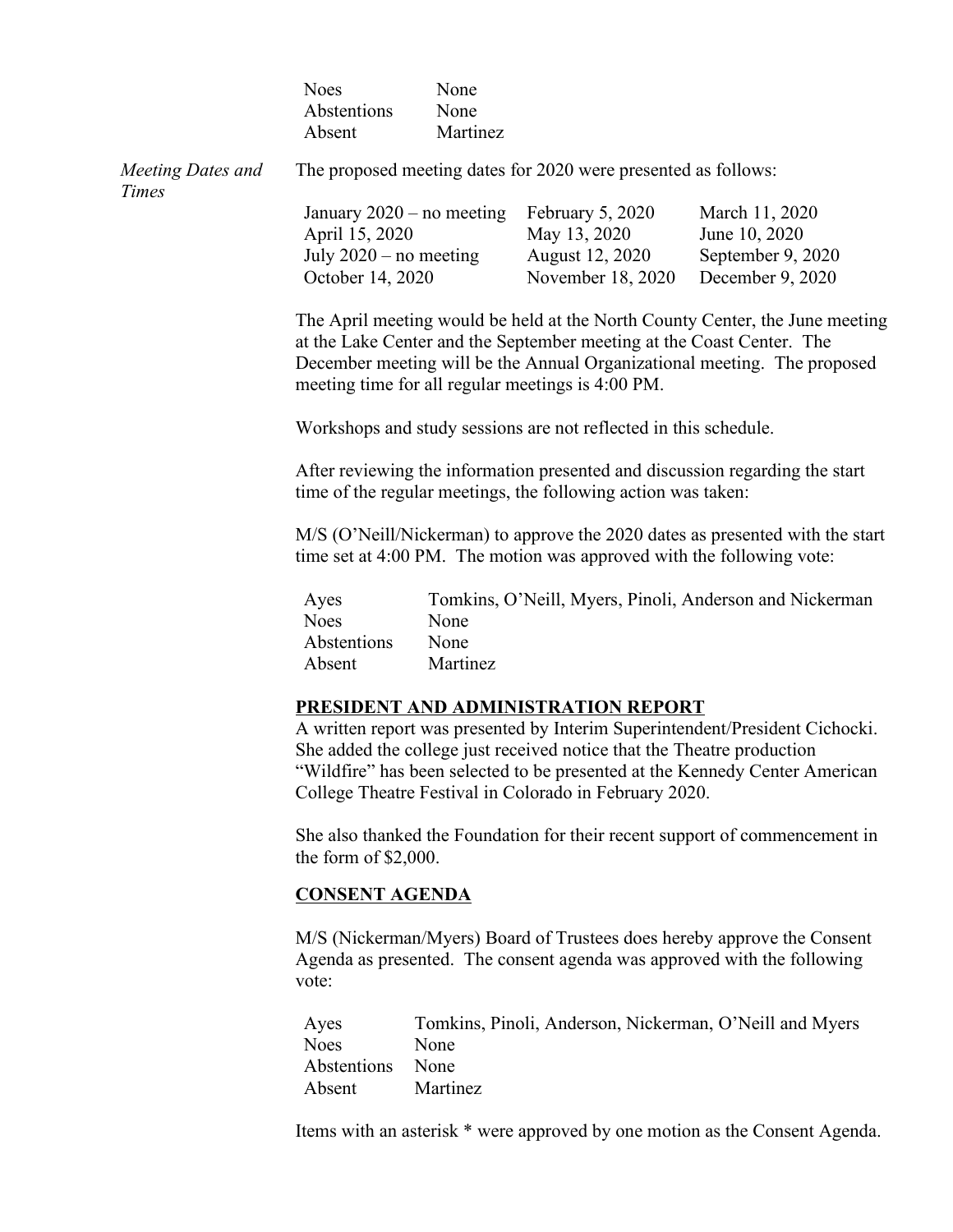|                            | <b>Noes</b><br>Abstentions<br>Absent                                                                                                                                                                                                                                                            | None<br>None<br>Martinez |                                                                          |                                                                          |
|----------------------------|-------------------------------------------------------------------------------------------------------------------------------------------------------------------------------------------------------------------------------------------------------------------------------------------------|--------------------------|--------------------------------------------------------------------------|--------------------------------------------------------------------------|
| Meeting Dates and<br>Times | The proposed meeting dates for 2020 were presented as follows:                                                                                                                                                                                                                                  |                          |                                                                          |                                                                          |
|                            | January $2020$ – no meeting<br>April 15, 2020<br>July $2020$ – no meeting<br>October 14, 2020                                                                                                                                                                                                   |                          | February 5, 2020<br>May 13, 2020<br>August 12, 2020<br>November 18, 2020 | March 11, 2020<br>June 10, 2020<br>September 9, 2020<br>December 9, 2020 |
|                            | The April meeting would be held at the North County Center, the June meeting<br>at the Lake Center and the September meeting at the Coast Center. The<br>December meeting will be the Annual Organizational meeting. The proposed<br>meeting time for all regular meetings is 4:00 PM.          |                          |                                                                          |                                                                          |
|                            | Workshops and study sessions are not reflected in this schedule.                                                                                                                                                                                                                                |                          |                                                                          |                                                                          |
|                            | After reviewing the information presented and discussion regarding the start<br>time of the regular meetings, the following action was taken:                                                                                                                                                   |                          |                                                                          |                                                                          |
|                            | M/S (O'Neill/Nickerman) to approve the 2020 dates as presented with the start<br>time set at 4:00 PM. The motion was approved with the following vote:                                                                                                                                          |                          |                                                                          |                                                                          |
|                            | Ayes<br><b>Noes</b><br>Abstentions<br>Absent                                                                                                                                                                                                                                                    | None<br>None<br>Martinez | Tomkins, O'Neill, Myers, Pinoli, Anderson and Nickerman                  |                                                                          |
|                            | PRESIDENT AND ADMINISTRATION REPORT                                                                                                                                                                                                                                                             |                          |                                                                          |                                                                          |
|                            | A written report was presented by Interim Superintendent/President Cichocki.<br>She added the college just received notice that the Theatre production<br>"Wildfire" has been selected to be presented at the Kennedy Center American<br>College Theatre Festival in Colorado in February 2020. |                          |                                                                          |                                                                          |
|                            | She also thanked the Foundation for their recent support of commencement in<br>the form of $$2,000$ .                                                                                                                                                                                           |                          |                                                                          |                                                                          |
|                            | <b>CONSENT AGENDA</b>                                                                                                                                                                                                                                                                           |                          |                                                                          |                                                                          |
|                            | M/S (Nickerman/Myers) Board of Trustees does hereby approve the Consent<br>Agenda as presented. The consent agenda was approved with the following<br>vote:                                                                                                                                     |                          |                                                                          |                                                                          |
|                            | Tomkins, Pinoli, Anderson, Nickerman, O'Neill and Myers<br>Ayes<br><b>Noes</b><br>None<br>Abstentions<br>None<br>Martinez<br>Absent                                                                                                                                                             |                          |                                                                          |                                                                          |

Items with an asterisk \* were approved by one motion as the Consent Agenda.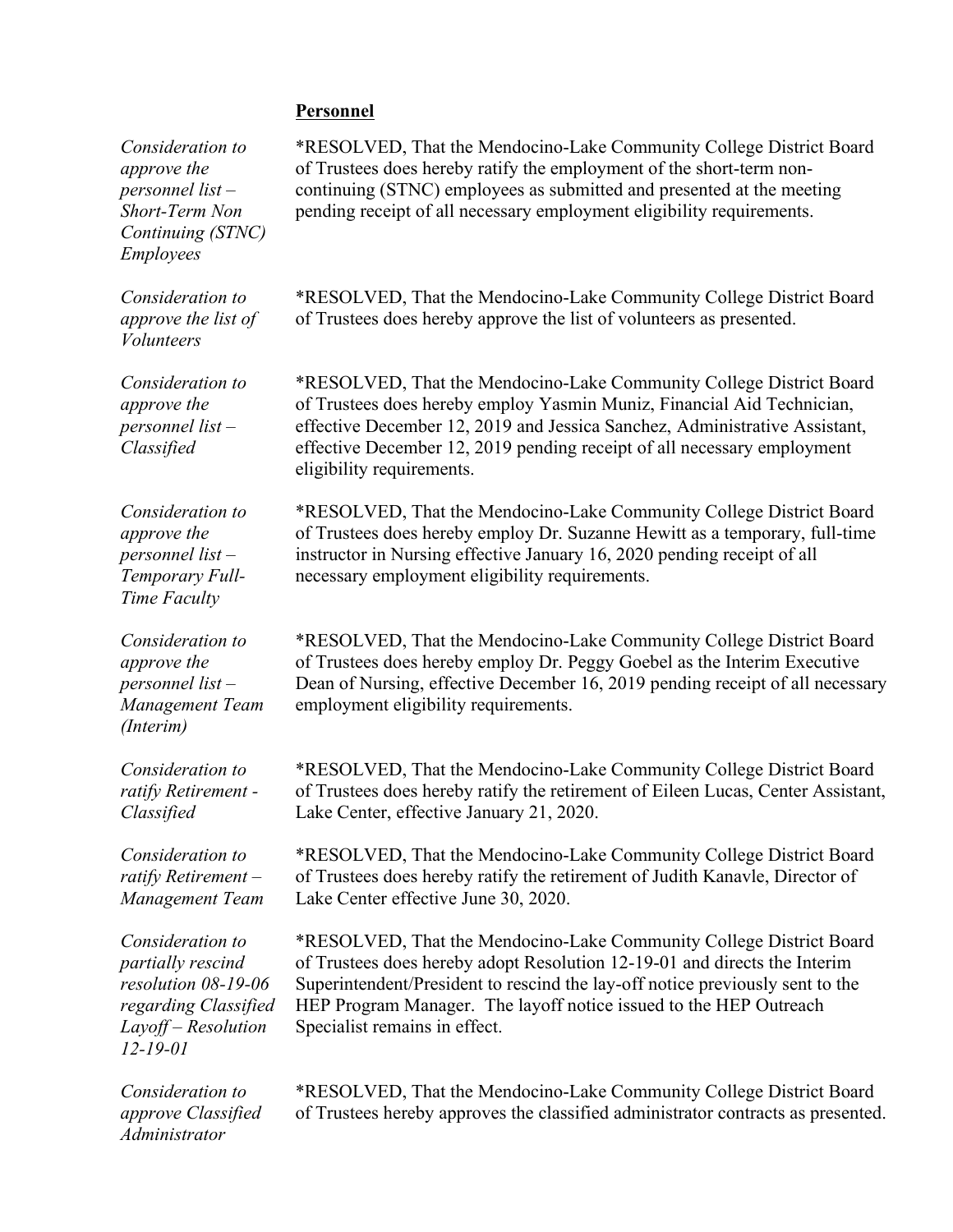### **Personnel**

*Consideration to approve the personnel list – Short-Term Non Continuing (STNC) Employees* \*RESOLVED, That the Mendocino-Lake Community College District Board of Trustees does hereby ratify the employment of the short-term noncontinuing (STNC) employees as submitted and presented at the meeting pending receipt of all necessary employment eligibility requirements. *Consideration to approve the list of Volunteers* \*RESOLVED, That the Mendocino-Lake Community College District Board of Trustees does hereby approve the list of volunteers as presented. *Consideration to approve the personnel list – Classified* \*RESOLVED, That the Mendocino-Lake Community College District Board of Trustees does hereby employ Yasmin Muniz, Financial Aid Technician, effective December 12, 2019 and Jessica Sanchez, Administrative Assistant, effective December 12, 2019 pending receipt of all necessary employment eligibility requirements. *Consideration to approve the personnel list – Temporary Full-Time Faculty* \*RESOLVED, That the Mendocino-Lake Community College District Board of Trustees does hereby employ Dr. Suzanne Hewitt as a temporary, full-time instructor in Nursing effective January 16, 2020 pending receipt of all necessary employment eligibility requirements. *Consideration to approve the personnel list – Management Team (Interim)* \*RESOLVED, That the Mendocino-Lake Community College District Board of Trustees does hereby employ Dr. Peggy Goebel as the Interim Executive Dean of Nursing, effective December 16, 2019 pending receipt of all necessary employment eligibility requirements. *Consideration to ratify Retirement - Classified* \*RESOLVED, That the Mendocino-Lake Community College District Board of Trustees does hereby ratify the retirement of Eileen Lucas, Center Assistant, Lake Center, effective January 21, 2020. *Consideration to ratify Retirement – Management Team* \*RESOLVED, That the Mendocino-Lake Community College District Board of Trustees does hereby ratify the retirement of Judith Kanavle, Director of Lake Center effective June 30, 2020. *Consideration to partially rescind resolution 08-19-06 regarding Classified Layoff – Resolution 12-19-01*  \*RESOLVED, That the Mendocino-Lake Community College District Board of Trustees does hereby adopt Resolution 12-19-01 and directs the Interim Superintendent/President to rescind the lay-off notice previously sent to the HEP Program Manager. The layoff notice issued to the HEP Outreach Specialist remains in effect. *Consideration to approve Classified Administrator*  \*RESOLVED, That the Mendocino-Lake Community College District Board of Trustees hereby approves the classified administrator contracts as presented.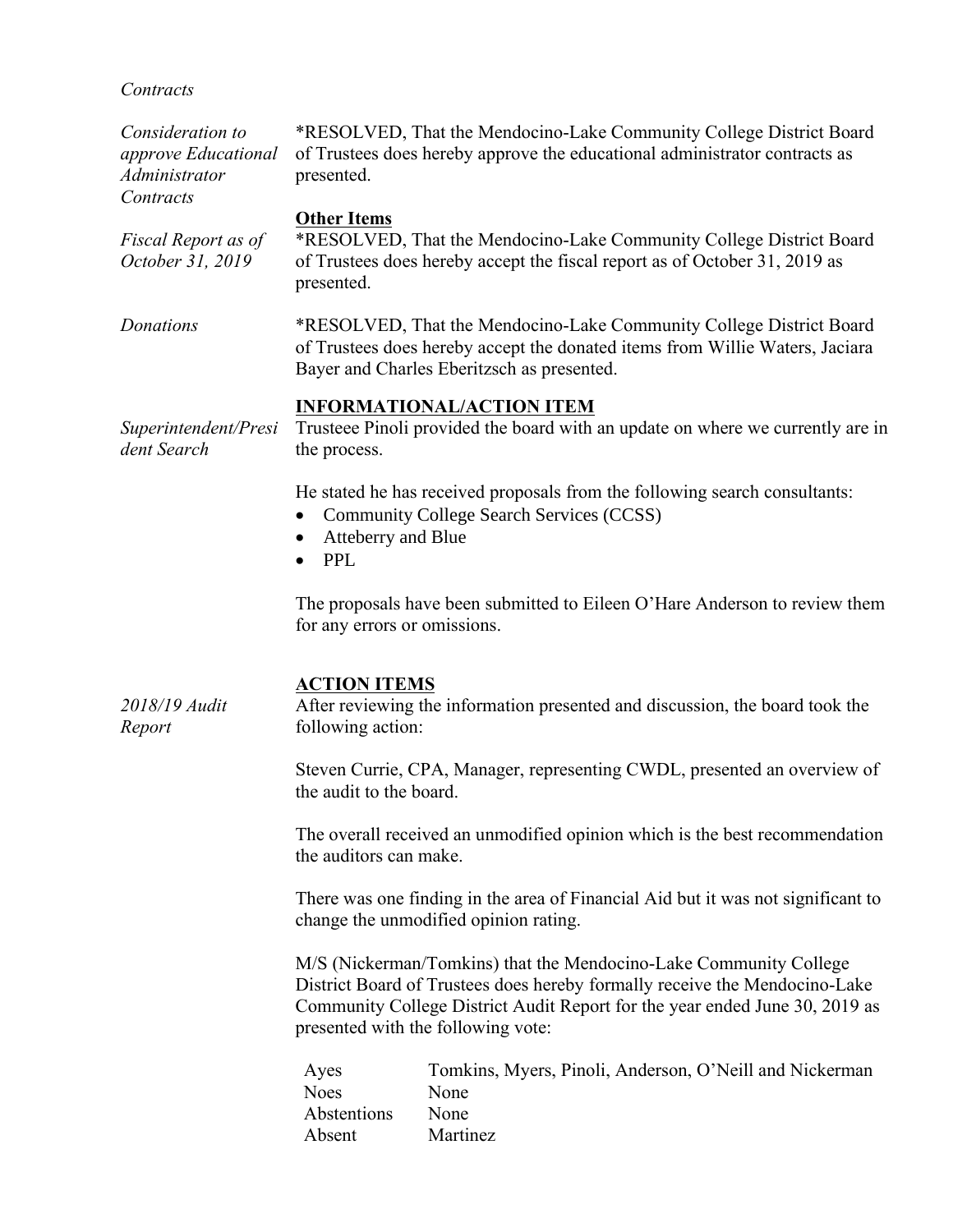# *Contracts*

| Consideration to<br>approve Educational<br>Administrator<br>Contracts | presented.                                    | *RESOLVED, That the Mendocino-Lake Community College District Board<br>of Trustees does hereby approve the educational administrator contracts as                                                                              |
|-----------------------------------------------------------------------|-----------------------------------------------|--------------------------------------------------------------------------------------------------------------------------------------------------------------------------------------------------------------------------------|
| Fiscal Report as of<br>October 31, 2019                               | <b>Other Items</b><br>presented.              | *RESOLVED, That the Mendocino-Lake Community College District Board<br>of Trustees does hereby accept the fiscal report as of October 31, 2019 as                                                                              |
| Donations                                                             |                                               | *RESOLVED, That the Mendocino-Lake Community College District Board<br>of Trustees does hereby accept the donated items from Willie Waters, Jaciara<br>Bayer and Charles Eberitzsch as presented.                              |
| Superintendent/Presi<br>dent Search                                   | the process.                                  | <b>INFORMATIONAL/ACTION ITEM</b><br>Trusteee Pinoli provided the board with an update on where we currently are in                                                                                                             |
|                                                                       | Atteberry and Blue<br><b>PPL</b><br>$\bullet$ | He stated he has received proposals from the following search consultants:<br><b>Community College Search Services (CCSS)</b>                                                                                                  |
|                                                                       | for any errors or omissions.                  | The proposals have been submitted to Eileen O'Hare Anderson to review them                                                                                                                                                     |
| 2018/19 Audit<br>Report                                               | <b>ACTION ITEMS</b><br>following action:      | After reviewing the information presented and discussion, the board took the                                                                                                                                                   |
|                                                                       | the audit to the board.                       | Steven Currie, CPA, Manager, representing CWDL, presented an overview of                                                                                                                                                       |
|                                                                       | the auditors can make.                        | The overall received an unmodified opinion which is the best recommendation                                                                                                                                                    |
|                                                                       |                                               | There was one finding in the area of Financial Aid but it was not significant to<br>change the unmodified opinion rating.                                                                                                      |
|                                                                       | presented with the following vote:            | M/S (Nickerman/Tomkins) that the Mendocino-Lake Community College<br>District Board of Trustees does hereby formally receive the Mendocino-Lake<br>Community College District Audit Report for the year ended June 30, 2019 as |
|                                                                       | Ayes<br><b>Noes</b><br>Abstentions<br>Absent  | Tomkins, Myers, Pinoli, Anderson, O'Neill and Nickerman<br>None<br>None<br>Martinez                                                                                                                                            |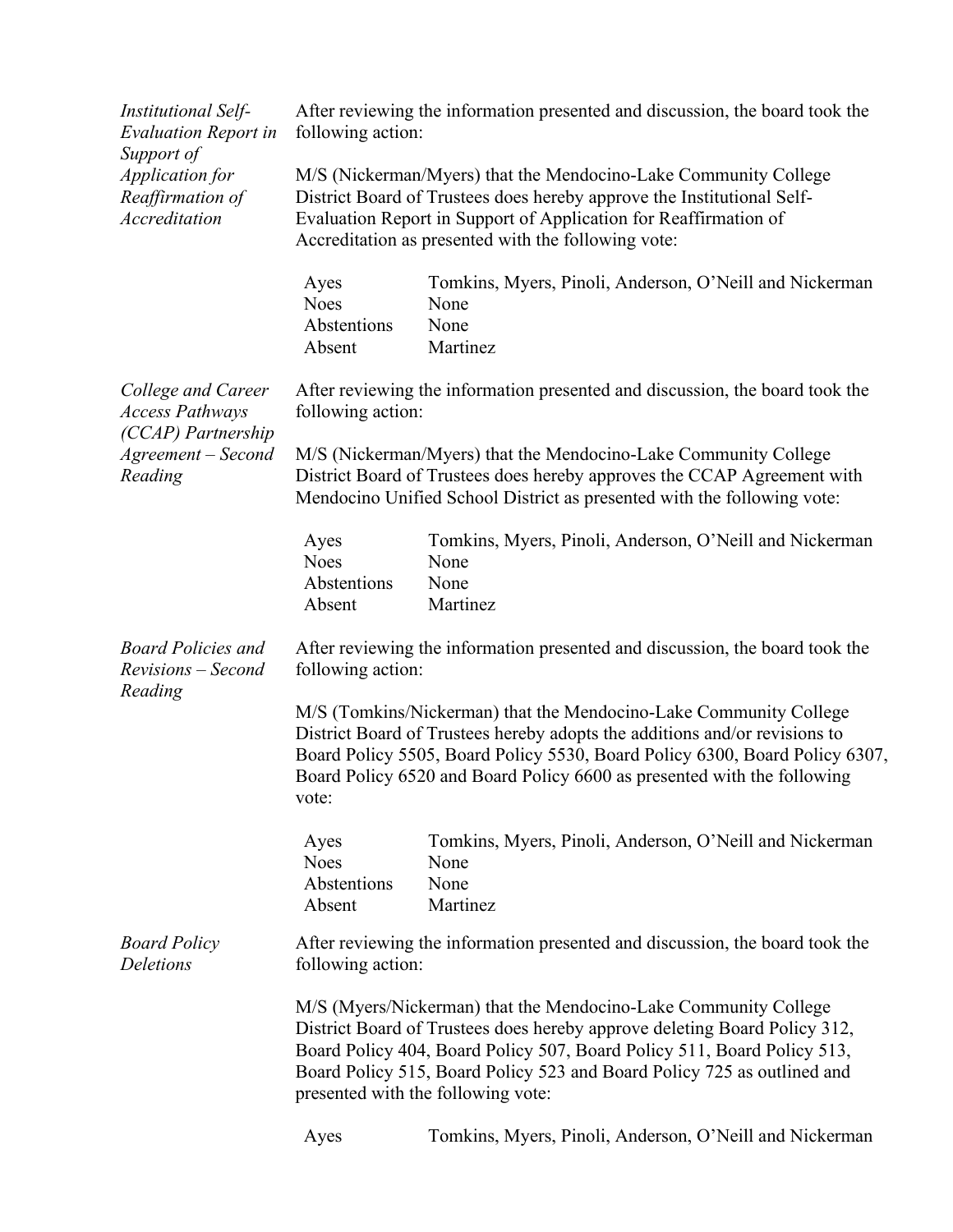| <b>Institutional Self-</b><br><b>Evaluation Report in</b><br>Support of | After reviewing the information presented and discussion, the board took the<br>following action:                                                                                                                                                                                                                  |                                                                                                                                                                                                                                                                                                                                          |  |
|-------------------------------------------------------------------------|--------------------------------------------------------------------------------------------------------------------------------------------------------------------------------------------------------------------------------------------------------------------------------------------------------------------|------------------------------------------------------------------------------------------------------------------------------------------------------------------------------------------------------------------------------------------------------------------------------------------------------------------------------------------|--|
| Application for<br>Reaffirmation of<br>Accreditation                    | M/S (Nickerman/Myers) that the Mendocino-Lake Community College<br>District Board of Trustees does hereby approve the Institutional Self-<br>Evaluation Report in Support of Application for Reaffirmation of<br>Accreditation as presented with the following vote:                                               |                                                                                                                                                                                                                                                                                                                                          |  |
|                                                                         | Ayes<br><b>Noes</b><br>Abstentions<br>Absent                                                                                                                                                                                                                                                                       | Tomkins, Myers, Pinoli, Anderson, O'Neill and Nickerman<br>None<br>None<br>Martinez                                                                                                                                                                                                                                                      |  |
| College and Career<br><b>Access Pathways</b><br>(CCAP) Partnership      | After reviewing the information presented and discussion, the board took the<br>following action:                                                                                                                                                                                                                  |                                                                                                                                                                                                                                                                                                                                          |  |
| Agreement - Second<br>Reading                                           |                                                                                                                                                                                                                                                                                                                    | M/S (Nickerman/Myers) that the Mendocino-Lake Community College<br>District Board of Trustees does hereby approves the CCAP Agreement with<br>Mendocino Unified School District as presented with the following vote:                                                                                                                    |  |
|                                                                         | Ayes<br><b>Noes</b><br>Abstentions<br>Absent                                                                                                                                                                                                                                                                       | Tomkins, Myers, Pinoli, Anderson, O'Neill and Nickerman<br>None<br>None<br>Martinez                                                                                                                                                                                                                                                      |  |
| <b>Board Policies and</b><br>Revisions – Second<br>Reading              | After reviewing the information presented and discussion, the board took the<br>following action:                                                                                                                                                                                                                  |                                                                                                                                                                                                                                                                                                                                          |  |
|                                                                         | M/S (Tomkins/Nickerman) that the Mendocino-Lake Community College<br>District Board of Trustees hereby adopts the additions and/or revisions to<br>Board Policy 5505, Board Policy 5530, Board Policy 6300, Board Policy 6307,<br>Board Policy 6520 and Board Policy 6600 as presented with the following<br>vote: |                                                                                                                                                                                                                                                                                                                                          |  |
|                                                                         | Ayes<br><b>Noes</b><br>Abstentions<br>Absent                                                                                                                                                                                                                                                                       | Tomkins, Myers, Pinoli, Anderson, O'Neill and Nickerman<br>None<br>None<br>Martinez                                                                                                                                                                                                                                                      |  |
| <b>Board Policy</b><br>Deletions                                        | After reviewing the information presented and discussion, the board took the<br>following action:                                                                                                                                                                                                                  |                                                                                                                                                                                                                                                                                                                                          |  |
|                                                                         |                                                                                                                                                                                                                                                                                                                    | M/S (Myers/Nickerman) that the Mendocino-Lake Community College<br>District Board of Trustees does hereby approve deleting Board Policy 312,<br>Board Policy 404, Board Policy 507, Board Policy 511, Board Policy 513,<br>Board Policy 515, Board Policy 523 and Board Policy 725 as outlined and<br>presented with the following vote: |  |
|                                                                         | Ayes                                                                                                                                                                                                                                                                                                               | Tomkins, Myers, Pinoli, Anderson, O'Neill and Nickerman                                                                                                                                                                                                                                                                                  |  |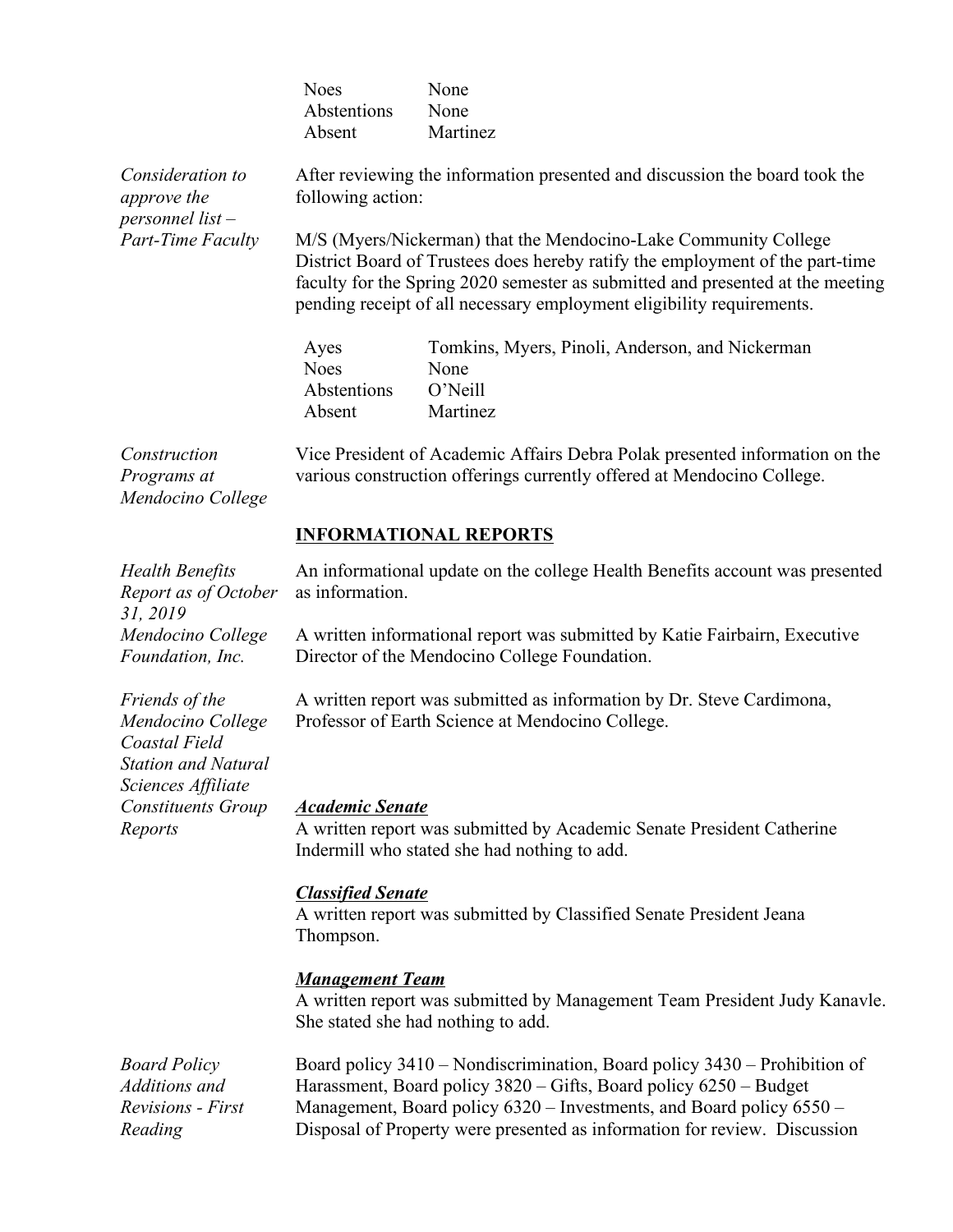|                                                                                    | <b>Noes</b><br>Abstentions<br>Absent                                                                                                                                                                                                                                                                | None<br>None<br>Martinez                                                                                                                                                                                                                                                                                    |  |
|------------------------------------------------------------------------------------|-----------------------------------------------------------------------------------------------------------------------------------------------------------------------------------------------------------------------------------------------------------------------------------------------------|-------------------------------------------------------------------------------------------------------------------------------------------------------------------------------------------------------------------------------------------------------------------------------------------------------------|--|
| Consideration to<br><i>approve the</i><br>personnel list $-$                       | After reviewing the information presented and discussion the board took the<br>following action:                                                                                                                                                                                                    |                                                                                                                                                                                                                                                                                                             |  |
| <b>Part-Time Faculty</b>                                                           |                                                                                                                                                                                                                                                                                                     | M/S (Myers/Nickerman) that the Mendocino-Lake Community College<br>District Board of Trustees does hereby ratify the employment of the part-time<br>faculty for the Spring 2020 semester as submitted and presented at the meeting<br>pending receipt of all necessary employment eligibility requirements. |  |
|                                                                                    | Ayes<br><b>Noes</b><br>Abstentions<br>Absent                                                                                                                                                                                                                                                        | Tomkins, Myers, Pinoli, Anderson, and Nickerman<br>None<br>O'Neill<br>Martinez                                                                                                                                                                                                                              |  |
| Construction<br>Programs at<br>Mendocino College                                   | Vice President of Academic Affairs Debra Polak presented information on the<br>various construction offerings currently offered at Mendocino College.                                                                                                                                               |                                                                                                                                                                                                                                                                                                             |  |
|                                                                                    | <b>INFORMATIONAL REPORTS</b>                                                                                                                                                                                                                                                                        |                                                                                                                                                                                                                                                                                                             |  |
| <b>Health Benefits</b><br>Report as of October<br>31, 2019                         | An informational update on the college Health Benefits account was presented<br>as information.                                                                                                                                                                                                     |                                                                                                                                                                                                                                                                                                             |  |
| Mendocino College<br>Foundation, Inc.                                              | A written informational report was submitted by Katie Fairbairn, Executive<br>Director of the Mendocino College Foundation.                                                                                                                                                                         |                                                                                                                                                                                                                                                                                                             |  |
| Friends of the<br>Mendocino College<br>Coastal Field<br><b>Station and Natural</b> | A written report was submitted as information by Dr. Steve Cardimona,<br>Professor of Earth Science at Mendocino College.                                                                                                                                                                           |                                                                                                                                                                                                                                                                                                             |  |
| Sciences Affiliate<br><b>Constituents Group</b><br>Reports                         | <b>Academic Senate</b>                                                                                                                                                                                                                                                                              | A written report was submitted by Academic Senate President Catherine<br>Indermill who stated she had nothing to add.                                                                                                                                                                                       |  |
|                                                                                    | <b>Classified Senate</b><br>Thompson.                                                                                                                                                                                                                                                               | A written report was submitted by Classified Senate President Jeana                                                                                                                                                                                                                                         |  |
|                                                                                    | <b>Management Team</b>                                                                                                                                                                                                                                                                              | A written report was submitted by Management Team President Judy Kanavle.<br>She stated she had nothing to add.                                                                                                                                                                                             |  |
| <b>Board Policy</b><br>Additions and<br><b>Revisions</b> - First<br>Reading        | Board policy 3410 – Nondiscrimination, Board policy 3430 – Prohibition of<br>Harassment, Board policy 3820 - Gifts, Board policy 6250 - Budget<br>Management, Board policy 6320 - Investments, and Board policy 6550 -<br>Disposal of Property were presented as information for review. Discussion |                                                                                                                                                                                                                                                                                                             |  |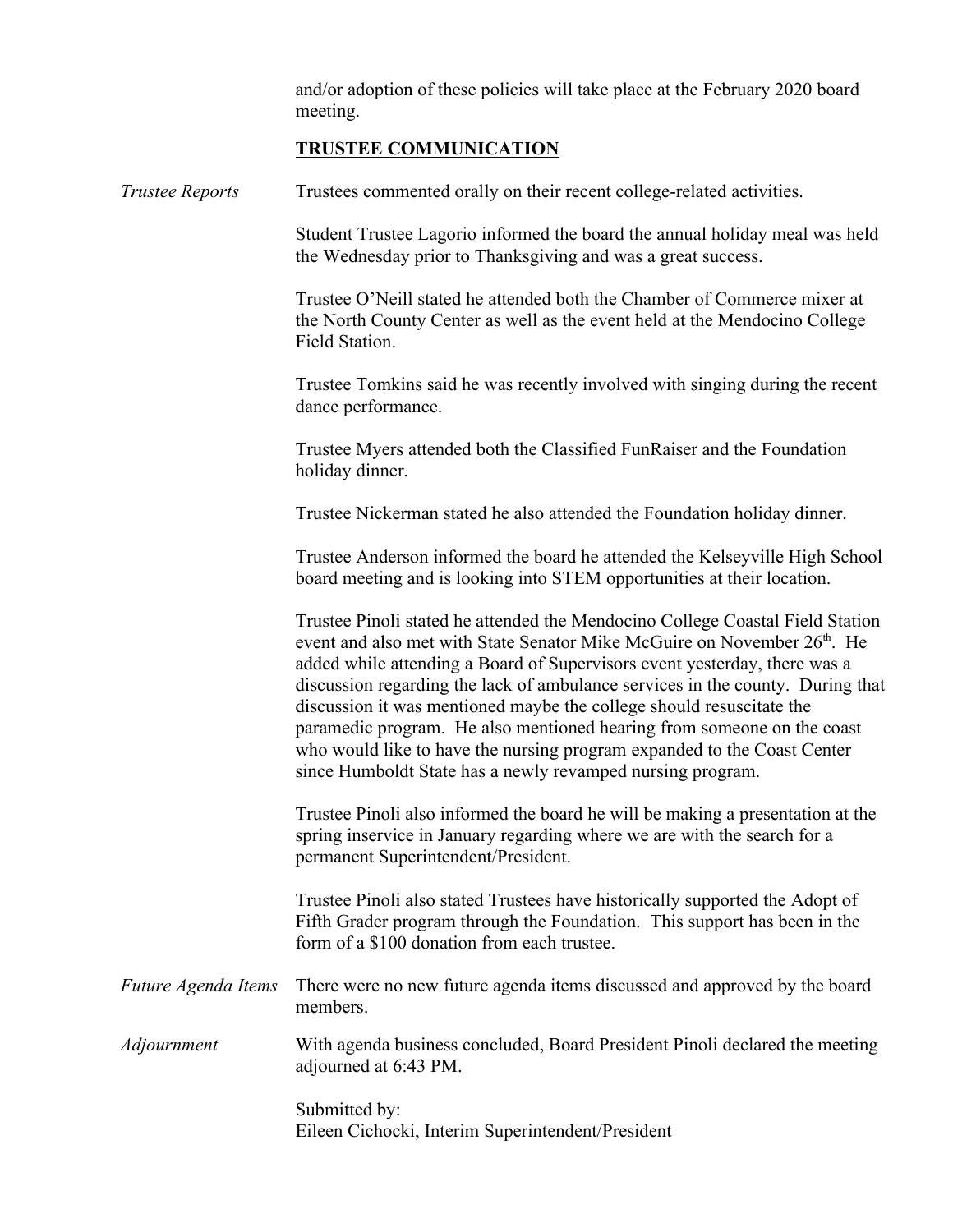and/or adoption of these policies will take place at the February 2020 board meeting.

### **TRUSTEE COMMUNICATION**

*Trustee Reports* Trustees commented orally on their recent college-related activities. Student Trustee Lagorio informed the board the annual holiday meal was held the Wednesday prior to Thanksgiving and was a great success. Trustee O'Neill stated he attended both the Chamber of Commerce mixer at the North County Center as well as the event held at the Mendocino College Field Station. Trustee Tomkins said he was recently involved with singing during the recent dance performance. Trustee Myers attended both the Classified FunRaiser and the Foundation holiday dinner.

Trustee Nickerman stated he also attended the Foundation holiday dinner.

Trustee Anderson informed the board he attended the Kelseyville High School board meeting and is looking into STEM opportunities at their location.

Trustee Pinoli stated he attended the Mendocino College Coastal Field Station event and also met with State Senator Mike McGuire on November 26<sup>th</sup>. He added while attending a Board of Supervisors event yesterday, there was a discussion regarding the lack of ambulance services in the county. During that discussion it was mentioned maybe the college should resuscitate the paramedic program. He also mentioned hearing from someone on the coast who would like to have the nursing program expanded to the Coast Center since Humboldt State has a newly revamped nursing program.

Trustee Pinoli also informed the board he will be making a presentation at the spring inservice in January regarding where we are with the search for a permanent Superintendent/President.

Trustee Pinoli also stated Trustees have historically supported the Adopt of Fifth Grader program through the Foundation. This support has been in the form of a \$100 donation from each trustee.

*Future Agenda Items* There were no new future agenda items discussed and approved by the board members.

*Adjournment* With agenda business concluded, Board President Pinoli declared the meeting adjourned at 6:43 PM.

> Submitted by: Eileen Cichocki, Interim Superintendent/President